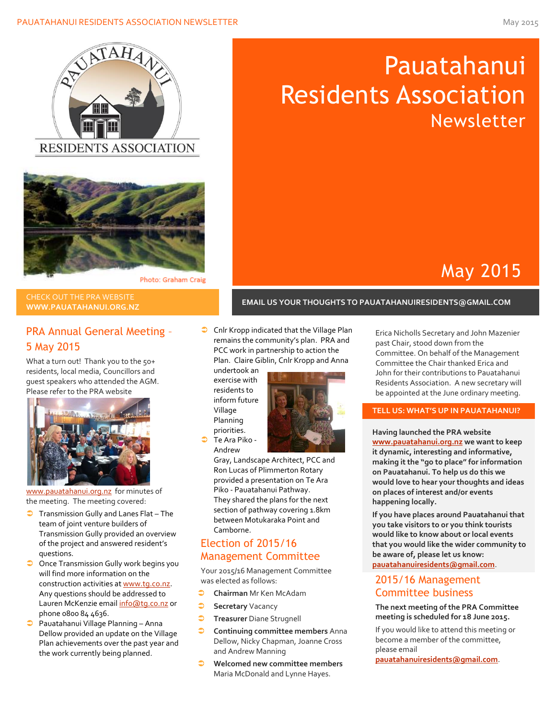



#### Photo: Graham Craig

# CHECK OUT THE PRA WEBSITE

# PRA Annual General Meeting – 5 May 2015

What a turn out! Thank you to the 50+ residents, local media, Councillors and guest speakers who attended the AGM. Please refer to the PRA website



[www.pauatahanui.org.nz](http://www.pauatahanui.org.nz/) for minutes of the meeting. The meeting covered:

- **Transmission Gully and Lanes Flat The** team of joint venture builders of Transmission Gully provided an overview of the project and answered resident's questions.
- **O** Once Transmission Gully work begins you will find more information on the construction activities a[t www.tg.co.nz.](http://www.tg.co.nz/)  Any questions should be addressed to Lauren McKenzie emai[l info@tg.co.nz](mailto:info@tg.co.nz) or phone 0800 84 4636.
- Pauatahanui Village Planning Anna Dellow provided an update on the Village Plan achievements over the past year and the work currently being planned.

**Cnlr Kropp indicated that the Village Plan** remains the community's plan. PRA and PCC work in partnership to action the Plan. Claire Giblin, Cnlr Kropp and Anna

undertook an exercise with residents to inform future Village Planning priorities.

 Te Ara Piko - Andrew



Gray, Landscape Architect, PCC and Ron Lucas of Plimmerton Rotary provided a presentation on [Te Ara](http://pauatahanui.org.nz/uploads/sites/pauatahanui/files/Powerpoint/Te%20Ara%20Piko%20-%20Pauatahanui%20Pathway.ppt)  Piko - [Pauatahanui Pathway.](http://pauatahanui.org.nz/uploads/sites/pauatahanui/files/Powerpoint/Te%20Ara%20Piko%20-%20Pauatahanui%20Pathway.ppt) They shared the plans for the next section of pathway covering 1.8km between Motukaraka Point and Camborne.

## Election of 2015/16 Management Committee

Your 2015/16 Management Committee was elected as follows:

- **Chairman** Mr Ken McAdam
- **Secretary** Vacancy
- **Treasurer** Diane Strugnell
- **Continuing committee members** Anna Dellow, Nicky Chapman, Joanne Cross and Andrew Manning
- **Welcomed new committee members**  Maria McDonald and Lynne Hayes.

Erica Nicholls Secretary and John Mazenier Committee. On behalf of the Management Committee the Chair thanked Erica and John for their contributions to Pauatahanui Residents Association. A new secretary will be appointed at the June ordinary meeting.

May 2015

### **TELL US: WHAT'S UP IN PAUATAHANUI?**

**Having launched the PRA website [www.pauatahanui.org.nz](http://www.pauatahanui.org.nz/) we want to keep it dynamic, interesting and informative, making it the "go to place" for information on Pauatahanui. To help us do this we would love to hear your thoughts and ideas on places of interest and/or events happening locally.**

**If you have places around Pauatahanui that you take visitors to or you think tourists would like to know about or local events that you would like the wider community to be aware of, please let us know: [pauatahanuiresidents@gmail.com](mailto:pauatahanuiresidents@gmail.com)**.

## 2015/16 Management Committee business

### **The next meeting of the PRA Committee meeting is scheduled for 18 June 2015.**

If you would like to attend this meeting or become a member of the committee, please email

**[pauatahanuiresidents@gmail.com](mailto:pauatahanuiresidents@gmail.com)**.

# Pauatahanui Residents Association Newsletter

# **WWW.PAUATAHANUI.ORG.NZ EMAIL US YOUR THOUGHTS TO PAUATAHANUIRESIDENTS@GMAIL.COM**

past Chair, stood down from the